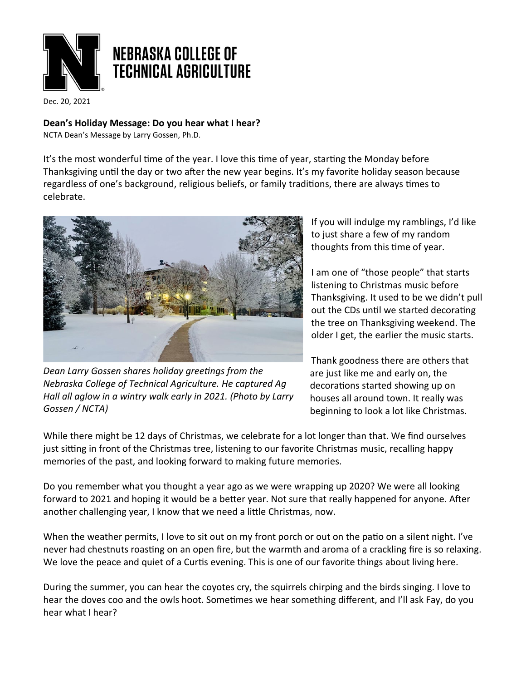

Dec. 20, 2021

**Dean's Holiday Message: Do you hear what I hear?**

NCTA Dean's Message by Larry Gossen, Ph.D.

It's the most wonderful time of the year. I love this time of year, starting the Monday before Thanksgiving until the day or two after the new year begins. It's my favorite holiday season because regardless of one's background, religious beliefs, or family traditions, there are always times to celebrate.



*Dean Larry Gossen shares holiday greetings from the Nebraska College of Technical Agriculture. He captured Ag Hall all aglow in a wintry walk early in 2021. (Photo by Larry Gossen / NCTA)*

If you will indulge my ramblings, I'd like to just share a few of my random thoughts from this time of year.

I am one of "those people" that starts listening to Christmas music before Thanksgiving. It used to be we didn't pull out the CDs until we started decorating the tree on Thanksgiving weekend. The older I get, the earlier the music starts.

Thank goodness there are others that are just like me and early on, the decorations started showing up on houses all around town. It really was beginning to look a lot like Christmas.

While there might be 12 days of Christmas, we celebrate for a lot longer than that. We find ourselves just sitting in front of the Christmas tree, listening to our favorite Christmas music, recalling happy memories of the past, and looking forward to making future memories.

Do you remember what you thought a year ago as we were wrapping up 2020? We were all looking forward to 2021 and hoping it would be a better year. Not sure that really happened for anyone. After another challenging year, I know that we need a litle Christmas, now.

When the weather permits, I love to sit out on my front porch or out on the patio on a silent night. I've never had chestnuts roasting on an open fire, but the warmth and aroma of a crackling fire is so relaxing. We love the peace and quiet of a Curtis evening. This is one of our favorite things about living here.

During the summer, you can hear the coyotes cry, the squirrels chirping and the birds singing. I love to hear the doves coo and the owls hoot. Sometimes we hear something different, and I'll ask Fay, do you hear what I hear?